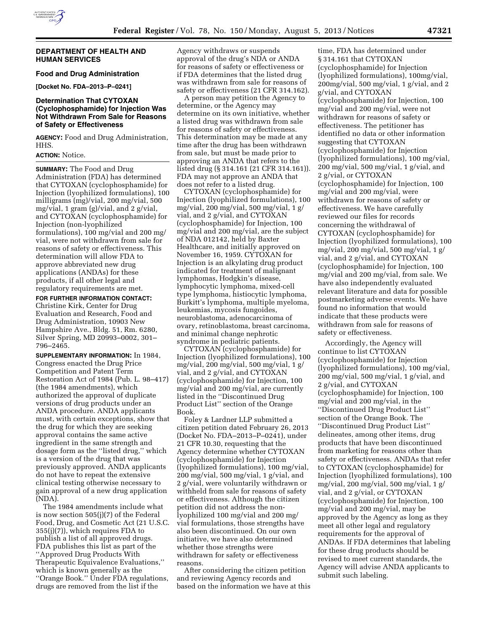

#### **DEPARTMENT OF HEALTH AND HUMAN SERVICES**

**Food and Drug Administration** 

**[Docket No. FDA–2013–P–0241]** 

## **Determination That CYTOXAN (Cyclophosphamide) for Injection Was Not Withdrawn From Sale for Reasons of Safety or Effectiveness**

**AGENCY:** Food and Drug Administration, HHS.

## **ACTION:** Notice.

**SUMMARY:** The Food and Drug Administration (FDA) has determined that CYTOXAN (cyclophosphamide) for Injection (lyophilized formulations), 100 milligrams (mg)/vial, 200 mg/vial, 500 mg/vial, 1 gram (g)/vial, and 2 g/vial, and CYTOXAN (cyclophosphamide) for Injection (non-lyophilized formulations), 100 mg/vial and 200 mg/ vial, were not withdrawn from sale for reasons of safety or effectiveness. This determination will allow FDA to approve abbreviated new drug applications (ANDAs) for these products, if all other legal and regulatory requirements are met.

**FOR FURTHER INFORMATION CONTACT:**  Christine Kirk, Center for Drug Evaluation and Research, Food and Drug Administration, 10903 New Hampshire Ave., Bldg. 51, Rm. 6280, Silver Spring, MD 20993–0002, 301– 796–2465.

**SUPPLEMENTARY INFORMATION:** In 1984, Congress enacted the Drug Price Competition and Patent Term Restoration Act of 1984 (Pub. L. 98–417) (the 1984 amendments), which authorized the approval of duplicate versions of drug products under an ANDA procedure. ANDA applicants must, with certain exceptions, show that the drug for which they are seeking approval contains the same active ingredient in the same strength and dosage form as the ''listed drug,'' which is a version of the drug that was previously approved. ANDA applicants do not have to repeat the extensive clinical testing otherwise necessary to gain approval of a new drug application (NDA).

The 1984 amendments include what is now section 505(j)(7) of the Federal Food, Drug, and Cosmetic Act (21 U.S.C. 355(j)(7)), which requires FDA to publish a list of all approved drugs. FDA publishes this list as part of the ''Approved Drug Products With Therapeutic Equivalence Evaluations,'' which is known generally as the ''Orange Book.'' Under FDA regulations, drugs are removed from the list if the

Agency withdraws or suspends approval of the drug's NDA or ANDA for reasons of safety or effectiveness or if FDA determines that the listed drug was withdrawn from sale for reasons of safety or effectiveness (21 CFR 314.162).

A person may petition the Agency to determine, or the Agency may determine on its own initiative, whether a listed drug was withdrawn from sale for reasons of safety or effectiveness. This determination may be made at any time after the drug has been withdrawn from sale, but must be made prior to approving an ANDA that refers to the listed drug (§ 314.161 (21 CFR 314.161)). FDA may not approve an ANDA that does not refer to a listed drug.

CYTOXAN (cyclophosphamide) for Injection (lyophilized formulations), 100 mg/vial, 200 mg/vial, 500 mg/vial, 1 g/ vial, and 2 g/vial, and CYTOXAN (cyclophosphamide) for Injection, 100 mg/vial and 200 mg/vial, are the subject of NDA 012142, held by Baxter Healthcare, and initially approved on November 16, 1959. CYTOXAN for Injection is an alkylating drug product indicated for treatment of malignant lymphomas, Hodgkin's disease, lymphocytic lymphoma, mixed-cell type lymphoma, histiocytic lymphoma, Burkitt's lymphoma, multiple myeloma, leukemias, mycosis fungoides, neuroblastoma, adenocarcinoma of ovary, retinoblastoma, breast carcinoma, and minimal change nephrotic syndrome in pediatric patients.

CYTOXAN (cyclophosphamide) for Injection (lyophilized formulations), 100 mg/vial, 200 mg/vial, 500 mg/vial, 1 g/ vial, and 2 g/vial, and CYTOXAN (cyclophosphamide) for Injection, 100 mg/vial and 200 mg/vial, are currently listed in the ''Discontinued Drug Product List'' section of the Orange Book.

Foley & Lardner LLP submitted a citizen petition dated February 26, 2013 (Docket No. FDA–2013–P–0241), under 21 CFR 10.30, requesting that the Agency determine whether CYTOXAN (cyclophosphamide) for Injection (lyophilized formulations), 100 mg/vial, 200 mg/vial, 500 mg/vial, 1 g/vial, and 2 g/vial, were voluntarily withdrawn or withheld from sale for reasons of safety or effectiveness. Although the citizen petition did not address the nonlyophilized 100 mg/vial and 200 mg/ vial formulations, those strengths have also been discontinued. On our own initiative, we have also determined whether those strengths were withdrawn for safety or effectiveness reasons.

After considering the citizen petition and reviewing Agency records and based on the information we have at this

time, FDA has determined under § 314.161 that CYTOXAN (cyclophosphamide) for Injection (lyophilized formulations), 100mg/vial, 200mg/vial, 500 mg/vial, 1 g/vial, and 2 g/vial, and CYTOXAN (cyclophosphamide) for Injection, 100 mg/vial and 200 mg/vial, were not withdrawn for reasons of safety or effectiveness. The petitioner has identified no data or other information suggesting that CYTOXAN (cyclophosphamide) for Injection (lyophilized formulations), 100 mg/vial, 200 mg/vial, 500 mg/vial, 1 g/vial, and 2 g/vial, or CYTOXAN (cyclophosphamide) for Injection, 100 mg/vial and 200 mg/vial, were withdrawn for reasons of safety or effectiveness. We have carefully reviewed our files for records concerning the withdrawal of CYTOXAN (cyclophosphamide) for Injection (lyophilized formulations), 100 mg/vial, 200 mg/vial, 500 mg/vial, 1 g/ vial, and 2 g/vial, and CYTOXAN (cyclophosphamide) for Injection, 100 mg/vial and 200 mg/vial, from sale. We have also independently evaluated relevant literature and data for possible postmarketing adverse events. We have found no information that would indicate that these products were withdrawn from sale for reasons of safety or effectiveness.

Accordingly, the Agency will continue to list CYTOXAN (cyclophosphamide) for Injection (lyophilized formulations), 100 mg/vial, 200 mg/vial, 500 mg/vial, 1 g/vial, and 2 g/vial, and CYTOXAN (cyclophosphamide) for Injection, 100 mg/vial and 200 mg/vial, in the ''Discontinued Drug Product List'' section of the Orange Book. The ''Discontinued Drug Product List'' delineates, among other items, drug products that have been discontinued from marketing for reasons other than safety or effectiveness. ANDAs that refer to CYTOXAN (cyclophosphamide) for Injection (lyophilized formulations), 100 mg/vial, 200 mg/vial, 500 mg/vial, 1 g/ vial, and 2 g/vial, or CYTOXAN (cyclophosphamide) for Injection, 100 mg/vial and 200 mg/vial, may be approved by the Agency as long as they meet all other legal and regulatory requirements for the approval of ANDAs. If FDA determines that labeling for these drug products should be revised to meet current standards, the Agency will advise ANDA applicants to submit such labeling.